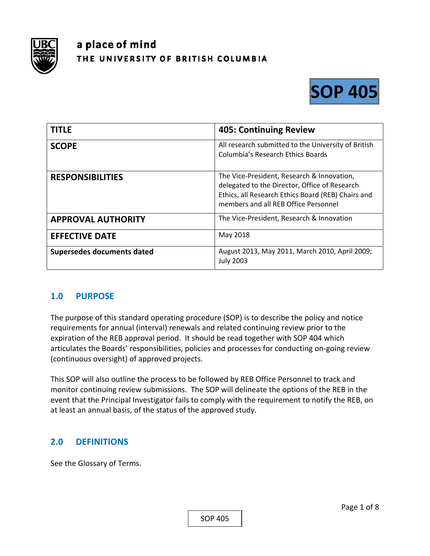

# a place of mind THE UNIVERSITY OF BRITISH COLUMBIA



| <b>TITLE</b>               | <b>405: Continuing Review</b>                                                                                                                                                             |
|----------------------------|-------------------------------------------------------------------------------------------------------------------------------------------------------------------------------------------|
| <b>SCOPE</b>               | All research submitted to the University of British<br>Columbia's Research Ethics Boards                                                                                                  |
| <b>RESPONSIBILITIES</b>    | The Vice-President, Research & Innovation,<br>delegated to the Director, Office of Research<br>Ethics, all Research Ethics Board (REB) Chairs and<br>members and all REB Office Personnel |
| <b>APPROVAL AUTHORITY</b>  | The Vice-President, Research & Innovation                                                                                                                                                 |
| <b>EFFECTIVE DATE</b>      | May 2018                                                                                                                                                                                  |
| Supersedes documents dated | August 2013, May 2011, March 2010, April 2009;<br><b>July 2003</b>                                                                                                                        |

## **1.0 PURPOSE**

The purpose of this standard operating procedure (SOP) is to describe the policy and notice requirements for annual (interval) renewals and related continuing review prior to the expiration of the REB approval period. It should be read together with SOP 404 which articulates the Boards' responsibilities, policies and processes for conducting on‐going review (continuous oversight) of approved projects.

This SOP will also outline the process to be followed by REB Office Personnel to track and monitor continuing review submissions. The SOP will delineate the options of the REB in the event that the Principal Investigator fails to comply with the requirement to notify the REB, on at least an annual basis, of the status of the approved study.

## **2.0 DEFINITIONS**

See the Glossary of Terms.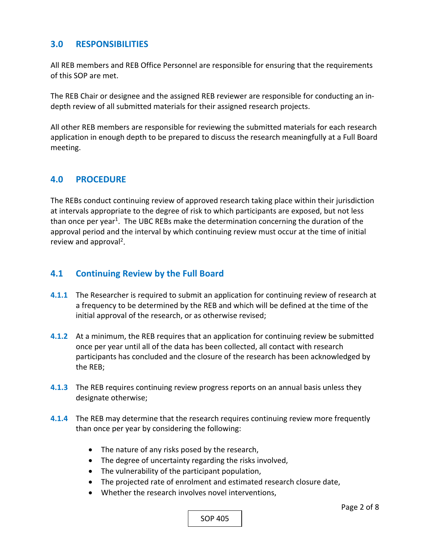## **3.0 RESPONSIBILITIES**

All REB members and REB Office Personnel are responsible for ensuring that the requirements of this SOP are met.

The REB Chair or designee and the assigned REB reviewer are responsible for conducting an in‐ depth review of all submitted materials for their assigned research projects.

All other REB members are responsible for reviewing the submitted materials for each research application in enough depth to be prepared to discuss the research meaningfully at a Full Board meeting.

#### **4.0 PROCEDURE**

The REBs conduct continuing review of approved research taking place within their jurisdiction at intervals appropriate to the degree of risk to which participants are exposed, but not less than once per year<sup>1</sup>. The UBC REBs make the determination concerning the duration of the approval period and the interval by which continuing review must occur at the time of initial review and approval<sup>2</sup>.

#### **4.1 Continuing Review by the Full Board**

- **4.1.1** The Researcher is required to submit an application for continuing review of research at a frequency to be determined by the REB and which will be defined at the time of the initial approval of the research, or as otherwise revised;
- **4.1.2** At a minimum, the REB requires that an application for continuing review be submitted once per year until all of the data has been collected, all contact with research participants has concluded and the closure of the research has been acknowledged by the REB;
- **4.1.3**  The REB requires continuing review progress reports on an annual basis unless they designate otherwise;
- **4.1.4**  The REB may determine that the research requires continuing review more frequently than once per year by considering the following:
	- The nature of any risks posed by the research,
	- The degree of uncertainty regarding the risks involved,
	- The vulnerability of the participant population,
	- The projected rate of enrolment and estimated research closure date,
	- Whether the research involves novel interventions,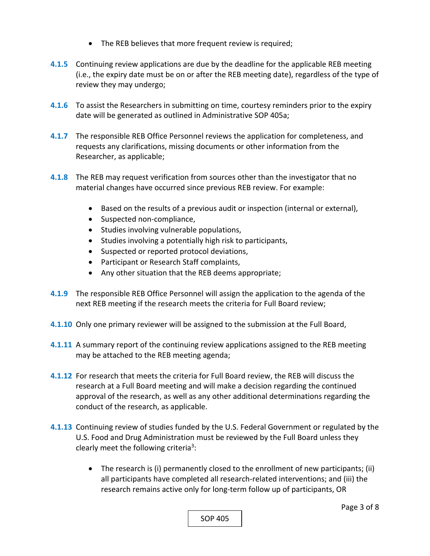- The REB believes that more frequent review is required;
- **4.1.5**  Continuing review applications are due by the deadline for the applicable REB meeting (i.e., the expiry date must be on or after the REB meeting date), regardless of the type of review they may undergo;
- **4.1.6**  To assist the Researchers in submitting on time, courtesy reminders prior to the expiry date will be generated as outlined in Administrative SOP 405a;
- **4.1.7**  The responsible REB Office Personnel reviews the application for completeness, and requests any clarifications, missing documents or other information from the Researcher, as applicable;
- **4.1.8**  The REB may request verification from sources other than the investigator that no material changes have occurred since previous REB review. For example:
	- Based on the results of a previous audit or inspection (internal or external),
	- Suspected non-compliance,
	- Studies involving vulnerable populations,
	- Studies involving a potentially high risk to participants,
	- Suspected or reported protocol deviations,
	- Participant or Research Staff complaints,
	- Any other situation that the REB deems appropriate;
- **4.1.9**  The responsible REB Office Personnel will assign the application to the agenda of the next REB meeting if the research meets the criteria for Full Board review;
- **4.1.10**  Only one primary reviewer will be assigned to the submission at the Full Board,
- **4.1.11**  A summary report of the continuing review applications assigned to the REB meeting may be attached to the REB meeting agenda;
- **4.1.12**  For research that meets the criteria for Full Board review, the REB will discuss the research at a Full Board meeting and will make a decision regarding the continued approval of the research, as well as any other additional determinations regarding the conduct of the research, as applicable.
- **4.1.13**  Continuing review of studies funded by the U.S. Federal Government or regulated by the U.S. Food and Drug Administration must be reviewed by the Full Board unless they clearly meet the following criteria<sup>3</sup>:
	- The research is (i) permanently closed to the enrollment of new participants; (ii) all participants have completed all research‐related interventions; and (iii) the research remains active only for long‐term follow up of participants, OR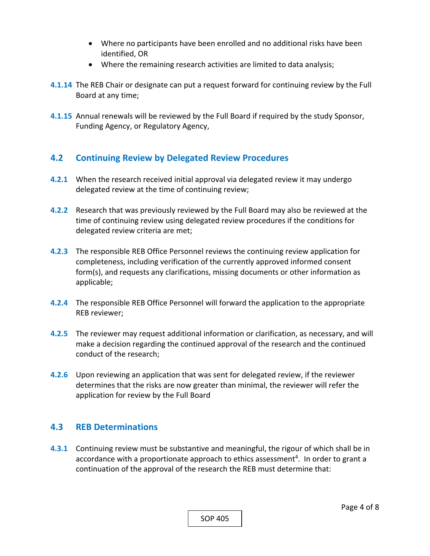- Where no participants have been enrolled and no additional risks have been identified, OR
- Where the remaining research activities are limited to data analysis;
- **4.1.14**  The REB Chair or designate can put a request forward for continuing review by the Full Board at any time;
- **4.1.15**  Annual renewals will be reviewed by the Full Board if required by the study Sponsor, Funding Agency, or Regulatory Agency,

## **4.2 Continuing Review by Delegated Review Procedures**

- **4.2.1** When the research received initial approval via delegated review it may undergo delegated review at the time of continuing review;
- **4.2.2**  Research that was previously reviewed by the Full Board may also be reviewed at the time of continuing review using delegated review procedures if the conditions for delegated review criteria are met;
- **4.2.3**  The responsible REB Office Personnel reviews the continuing review application for completeness, including verification of the currently approved informed consent form(s), and requests any clarifications, missing documents or other information as applicable;
- **4.2.4**  The responsible REB Office Personnel will forward the application to the appropriate REB reviewer;
- **4.2.5**  The reviewer may request additional information or clarification, as necessary, and will make a decision regarding the continued approval of the research and the continued conduct of the research;
- **4.2.6**  Upon reviewing an application that was sent for delegated review, if the reviewer determines that the risks are now greater than minimal, the reviewer will refer the application for review by the Full Board

## **4.3 REB Determinations**

**4.3.1** Continuing review must be substantive and meaningful, the rigour of which shall be in accordance with a proportionate approach to ethics assessment<sup>4</sup>. In order to grant a continuation of the approval of the research the REB must determine that: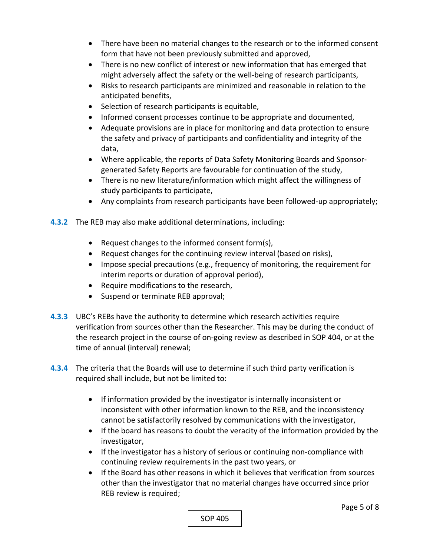- There have been no material changes to the research or to the informed consent form that have not been previously submitted and approved,
- There is no new conflict of interest or new information that has emerged that might adversely affect the safety or the well‐being of research participants,
- Risks to research participants are minimized and reasonable in relation to the anticipated benefits,
- Selection of research participants is equitable,
- Informed consent processes continue to be appropriate and documented,
- Adequate provisions are in place for monitoring and data protection to ensure the safety and privacy of participants and confidentiality and integrity of the data,
- Where applicable, the reports of Data Safety Monitoring Boards and Sponsorgenerated Safety Reports are favourable for continuation of the study,
- There is no new literature/information which might affect the willingness of study participants to participate,
- Any complaints from research participants have been followed-up appropriately;
- **4.3.2** The REB may also make additional determinations, including:
	- Request changes to the informed consent form(s),
	- Request changes for the continuing review interval (based on risks),
	- Impose special precautions (e.g., frequency of monitoring, the requirement for interim reports or duration of approval period),
	- Require modifications to the research,
	- Suspend or terminate REB approval;
- **4.3.3**  UBC's REBs have the authority to determine which research activities require verification from sources other than the Researcher. This may be during the conduct of the research project in the course of on‐going review as described in SOP 404, or at the time of annual (interval) renewal;
- **4.3.4**  The criteria that the Boards will use to determine if such third party verification is required shall include, but not be limited to:
	- If information provided by the investigator is internally inconsistent or inconsistent with other information known to the REB, and the inconsistency cannot be satisfactorily resolved by communications with the investigator,
	- If the board has reasons to doubt the veracity of the information provided by the investigator,
	- If the investigator has a history of serious or continuing non-compliance with continuing review requirements in the past two years, or
	- If the Board has other reasons in which it believes that verification from sources other than the investigator that no material changes have occurred since prior REB review is required;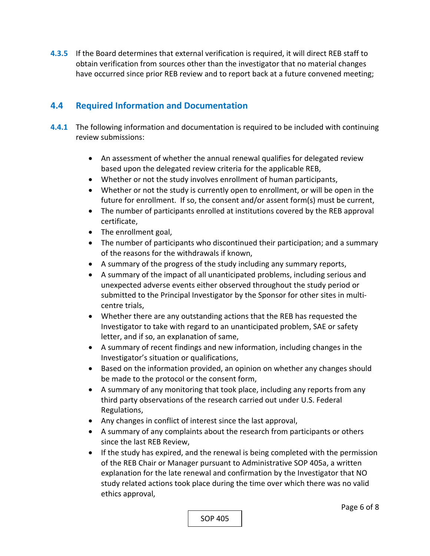**4.3.5**  If the Board determines that external verification is required, it will direct REB staff to obtain verification from sources other than the investigator that no material changes have occurred since prior REB review and to report back at a future convened meeting;

## **4.4 Required Information and Documentation**

- **4.4.1** The following information and documentation is required to be included with continuing review submissions:
	- An assessment of whether the annual renewal qualifies for delegated review based upon the delegated review criteria for the applicable REB,
	- Whether or not the study involves enrollment of human participants,
	- Whether or not the study is currently open to enrollment, or will be open in the future for enrollment. If so, the consent and/or assent form(s) must be current,
	- The number of participants enrolled at institutions covered by the REB approval certificate,
	- The enrollment goal,
	- The number of participants who discontinued their participation; and a summary of the reasons for the withdrawals if known,
	- A summary of the progress of the study including any summary reports,
	- A summary of the impact of all unanticipated problems, including serious and unexpected adverse events either observed throughout the study period or submitted to the Principal Investigator by the Sponsor for other sites in multi‐ centre trials,
	- Whether there are any outstanding actions that the REB has requested the Investigator to take with regard to an unanticipated problem, SAE or safety letter, and if so, an explanation of same,
	- A summary of recent findings and new information, including changes in the Investigator's situation or qualifications,
	- Based on the information provided, an opinion on whether any changes should be made to the protocol or the consent form,
	- A summary of any monitoring that took place, including any reports from any third party observations of the research carried out under U.S. Federal Regulations,
	- Any changes in conflict of interest since the last approval,
	- A summary of any complaints about the research from participants or others since the last REB Review,
	- If the study has expired, and the renewal is being completed with the permission of the REB Chair or Manager pursuant to Administrative SOP 405a, a written explanation for the late renewal and confirmation by the Investigator that NO study related actions took place during the time over which there was no valid ethics approval,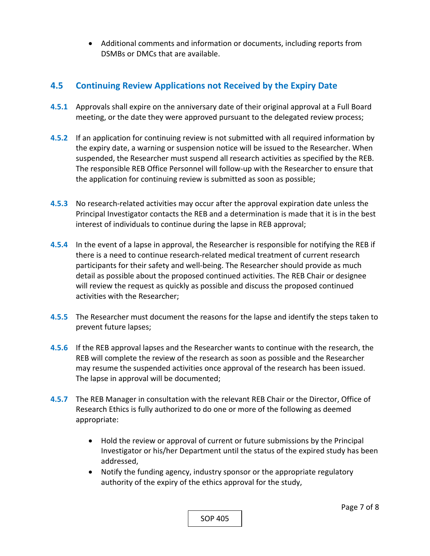Additional comments and information or documents, including reports from DSMBs or DMCs that are available.

# **4.5 Continuing Review Applications not Received by the Expiry Date**

- **4.5.1** Approvals shall expire on the anniversary date of their original approval at a Full Board meeting, or the date they were approved pursuant to the delegated review process;
- **4.5.2** If an application for continuing review is not submitted with all required information by the expiry date, a warning or suspension notice will be issued to the Researcher. When suspended, the Researcher must suspend all research activities as specified by the REB. The responsible REB Office Personnel will follow‐up with the Researcher to ensure that the application for continuing review is submitted as soon as possible;
- **4.5.3**  No research‐related activities may occur after the approval expiration date unless the Principal Investigator contacts the REB and a determination is made that it is in the best interest of individuals to continue during the lapse in REB approval;
- **4.5.4** In the event of a lapse in approval, the Researcher is responsible for notifying the REB if there is a need to continue research‐related medical treatment of current research participants for their safety and well‐being. The Researcher should provide as much detail as possible about the proposed continued activities. The REB Chair or designee will review the request as quickly as possible and discuss the proposed continued activities with the Researcher;
- **4.5.5**  The Researcher must document the reasons for the lapse and identify the steps taken to prevent future lapses;
- **4.5.6**  If the REB approval lapses and the Researcher wants to continue with the research, the REB will complete the review of the research as soon as possible and the Researcher may resume the suspended activities once approval of the research has been issued. The lapse in approval will be documented;
- **4.5.7**  The REB Manager in consultation with the relevant REB Chair or the Director, Office of Research Ethics is fully authorized to do one or more of the following as deemed appropriate:
	- Hold the review or approval of current or future submissions by the Principal Investigator or his/her Department until the status of the expired study has been addressed,
	- Notify the funding agency, industry sponsor or the appropriate regulatory authority of the expiry of the ethics approval for the study,

SOP 405